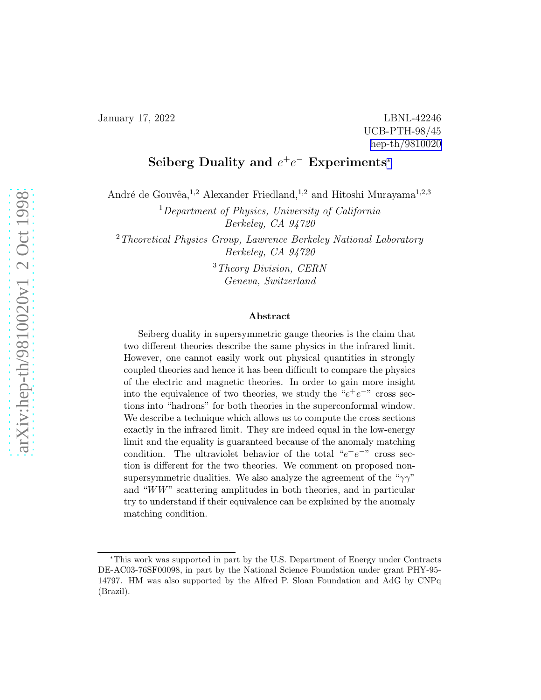# UCB-PTH-98/45 [hep-th/9810020](http://arxiv.org/abs/hep-th/9810020)

### Seiberg Duality and  $e^+e^-$  Experiments<sup>∗</sup>

André de Gouvêa,<sup>1,2</sup> Alexander Friedland,<sup>1,2</sup> and Hitoshi Murayama<sup>1,2,3</sup>

 $1$ Department of Physics, University of California Berkeley, CA 94720

<sup>2</sup> Theoretical Physics Group, Lawrence Berkeley National Laboratory Berkeley, CA 94720

> <sup>3</sup>Theory Division, CERN Geneva, Switzerland

#### Abstract

Seiberg duality in supersymmetric gauge theories is the claim that two different theories describe the same physics in the infrared limit. However, one cannot easily work out physical quantities in strongly coupled theories and hence it has been difficult to compare the physics of the electric and magnetic theories. In order to gain more insight into the equivalence of two theories, we study the " $e^+e^-$ " cross sections into "hadrons" for both theories in the superconformal window. We describe a technique which allows us to compute the cross sections exactly in the infrared limit. They are indeed equal in the low-energy limit and the equality is guaranteed because of the anomaly matching condition. The ultraviolet behavior of the total " $e^+e^-$ " cross section is different for the two theories. We comment on proposed nonsupersymmetric dualities. We also analyze the agreement of the " $\gamma\gamma$ " and "WW" scattering amplitudes in both theories, and in particular try to understand if their equivalence can be explained by the anomaly matching condition.

<sup>∗</sup>This work was supported in part by the U.S. Department of Energy under Contracts DE-AC03-76SF00098, in part by the National Science Foundation under grant PHY-95- 14797. HM was also supported by the Alfred P. Sloan Foundation and AdG by CNPq (Brazil).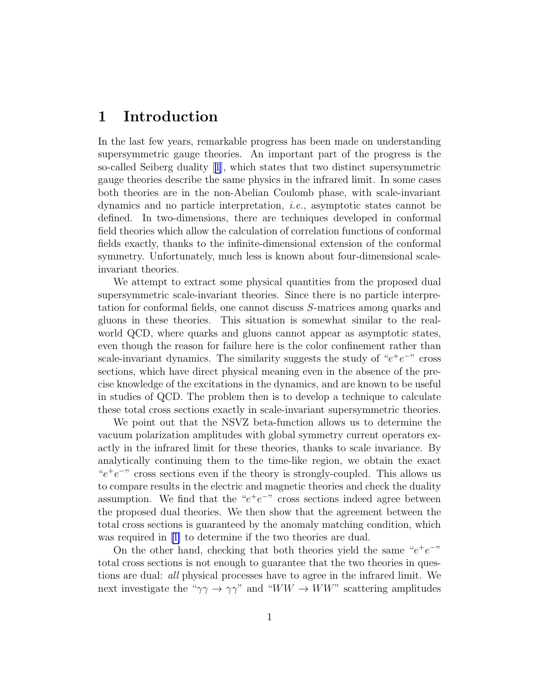### 1 Introduction

In the last few years, remarkable progress has been made on understanding supersymmetric gauge theories. An important part of the progress is the so-called Seiberg duality[[1](#page-22-0)], which states that two distinct supersymmetric gauge theories describe the same physics in the infrared limit. In some cases both theories are in the non-Abelian Coulomb phase, with scale-invariant dynamics and no particle interpretation, i.e., asymptotic states cannot be defined. In two-dimensions, there are techniques developed in conformal field theories which allow the calculation of correlation functions of conformal fields exactly, thanks to the infinite-dimensional extension of the conformal symmetry. Unfortunately, much less is known about four-dimensional scaleinvariant theories.

We attempt to extract some physical quantities from the proposed dual supersymmetric scale-invariant theories. Since there is no particle interpretation for conformal fields, one cannot discuss S-matrices among quarks and gluons in these theories. This situation is somewhat similar to the realworld QCD, where quarks and gluons cannot appear as asymptotic states, even though the reason for failure here is the color confinement rather than scale-invariant dynamics. The similarity suggests the study of " $e^+e^-$ " cross sections, which have direct physical meaning even in the absence of the precise knowledge of the excitations in the dynamics, and are known to be useful in studies of QCD. The problem then is to develop a technique to calculate these total cross sections exactly in scale-invariant supersymmetric theories.

We point out that the NSVZ beta-function allows us to determine the vacuum polarization amplitudes with global symmetry current operators exactly in the infrared limit for these theories, thanks to scale invariance. By analytically continuing them to the time-like region, we obtain the exact " $e^+e^-$ " cross sections even if the theory is strongly-coupled. This allows us to compare results in the electric and magnetic theories and check the duality assumption. We find that the " $e^+e^-$ " cross sections indeed agree between the proposed dual theories. We then show that the agreement between the total cross sections is guaranteed by the anomaly matching condition, which was required in [\[1\]](#page-22-0) to determine if the two theories are dual.

On the other hand, checking that both theories yield the same " $e^+e^{-n}$ " total cross sections is not enough to guarantee that the two theories in questions are dual: all physical processes have to agree in the infrared limit. We next investigate the " $\gamma\gamma \rightarrow \gamma\gamma$ " and "WW  $\rightarrow WW$ " scattering amplitudes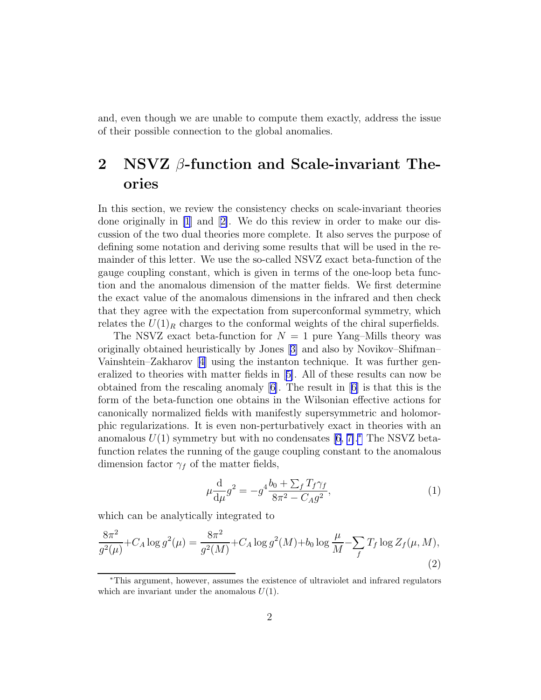<span id="page-2-0"></span>and, even though we are unable to compute them exactly, address the issue of their possible connection to the global anomalies.

# 2 NSVZ  $\beta$ -function and Scale-invariant Theories

In this section, we review the consistency checks on scale-invariant theories doneoriginally in  $|1|$  and  $|2|$ . We do this review in order to make our discussion of the two dual theories more complete. It also serves the purpose of defining some notation and deriving some results that will be used in the remainder of this letter. We use the so-called NSVZ exact beta-function of the gauge coupling constant, which is given in terms of the one-loop beta function and the anomalous dimension of the matter fields. We first determine the exact value of the anomalous dimensions in the infrared and then check that they agree with the expectation from superconformal symmetry, which relates the  $U(1)_R$  charges to the conformal weights of the chiral superfields.

The NSVZ exact beta-function for  $N = 1$  pure Yang–Mills theory was originally obtained heuristically by Jones[[3\]](#page-22-0) and also by Novikov–Shifman– Vainshtein–Zakharov[[4\]](#page-22-0) using the instanton technique. It was further generalized to theories with matter fields in[[5\]](#page-22-0). All of these results can now be obtainedfrom the rescaling anomaly  $[6]$  $[6]$ . The result in  $[6]$  is that this is the form of the beta-function one obtains in the Wilsonian effective actions for canonically normalized fields with manifestly supersymmetric and holomorphic regularizations. It is even non-perturbatively exact in theories with an anomalous  $U(1)$  symmetry but with no condensates [\[6](#page-23-0), [7\]](#page-23-0). $*$  The NSVZ betafunction relates the running of the gauge coupling constant to the anomalous dimension factor  $\gamma_f$  of the matter fields,

$$
\mu \frac{\mathrm{d}}{\mathrm{d}\mu} g^2 = -g^4 \frac{b_0 + \sum_f T_f \gamma_f}{8\pi^2 - C_A g^2},\tag{1}
$$

which can be analytically integrated to

$$
\frac{8\pi^2}{g^2(\mu)} + C_A \log g^2(\mu) = \frac{8\pi^2}{g^2(M)} + C_A \log g^2(M) + b_0 \log \frac{\mu}{M} - \sum_f T_f \log Z_f(\mu, M),\tag{2}
$$

<sup>∗</sup>This argument, however, assumes the existence of ultraviolet and infrared regulators which are invariant under the anomalous  $U(1)$ .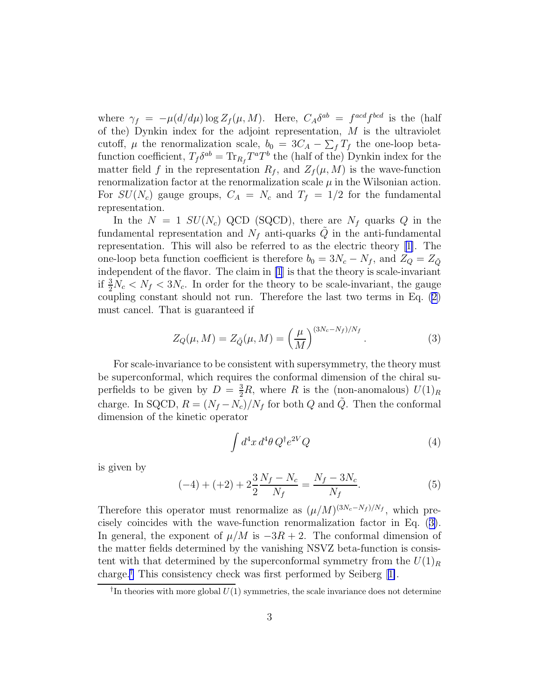<span id="page-3-0"></span>where  $\gamma_f = -\mu(d/d\mu) \log Z_f(\mu, M)$ . Here,  $C_A \delta^{ab} = f^{acd} f^{bcd}$  is the (half of the) Dynkin index for the adjoint representation,  $M$  is the ultraviolet cutoff,  $\mu$  the renormalization scale,  $b_0 = 3C_A - \sum_f T_f$  the one-loop betafunction coefficient,  $T_f \delta^{ab} = \text{Tr}_{R_f} T^a T^b$  the (half of the) Dynkin index for the matter field f in the representation  $R_f$ , and  $Z_f(\mu, M)$  is the wave-function renormalization factor at the renormalization scale  $\mu$  in the Wilsonian action. For  $SU(N_c)$  gauge groups,  $C_A = N_c$  and  $T_f = 1/2$  for the fundamental representation.

In the  $N = 1$  SU(N<sub>c</sub>) QCD (SQCD), there are N<sub>f</sub> quarks Q in the fundamental representation and  $N_f$  anti-quarks  $\ddot{Q}$  in the anti-fundamental representation. This will also be referred to as the electric theory [[1\]](#page-22-0). The one-loop beta function coefficient is therefore  $b_0 = 3N_c - N_f$ , and  $Z_Q = Z_{\tilde{Q}}$ independent of the flavor. The claim in [\[1](#page-22-0)] is that the theory is scale-invariant if  $\frac{3}{2}N_c < N_f < 3N_c$ . In order for the theory to be scale-invariant, the gauge coupling constant should not run. Therefore the last two terms in Eq.([2\)](#page-2-0) must cancel. That is guaranteed if

$$
Z_{Q}(\mu, M) = Z_{\tilde{Q}}(\mu, M) = \left(\frac{\mu}{M}\right)^{(3N_c - N_f)/N_f}.
$$
 (3)

For scale-invariance to be consistent with supersymmetry, the theory must be superconformal, which requires the conformal dimension of the chiral superfields to be given by  $D = \frac{3}{2}R$ , where R is the (non-anomalous)  $U(1)_R$ charge. In SQCD,  $R = (N_f - N_c)/N_f$  for both Q and Q. Then the conformal dimension of the kinetic operator

$$
\int d^4x \, d^4\theta \, Q^\dagger e^{2V} Q \tag{4}
$$

is given by

$$
(-4) + (+2) + 2\frac{3}{2}\frac{N_f - N_c}{N_f} = \frac{N_f - 3N_c}{N_f}.
$$
\n<sup>(5)</sup>

Therefore this operator must renormalize as  $(\mu/M)^{(3N_c-N_f)/N_f}$ , which precisely coincides with the wave-function renormalization factor in Eq. (3). In general, the exponent of  $\mu/M$  is  $-3R + 2$ . The conformal dimension of the matter fields determined by the vanishing NSVZ beta-function is consistent with that determined by the superconformal symmetry from the  $U(1)<sub>R</sub>$ charge.† This consistency check was first performed by Seiberg[[1\]](#page-22-0).

<sup>&</sup>lt;sup>†</sup>In theories with more global  $U(1)$  symmetries, the scale invariance does not determine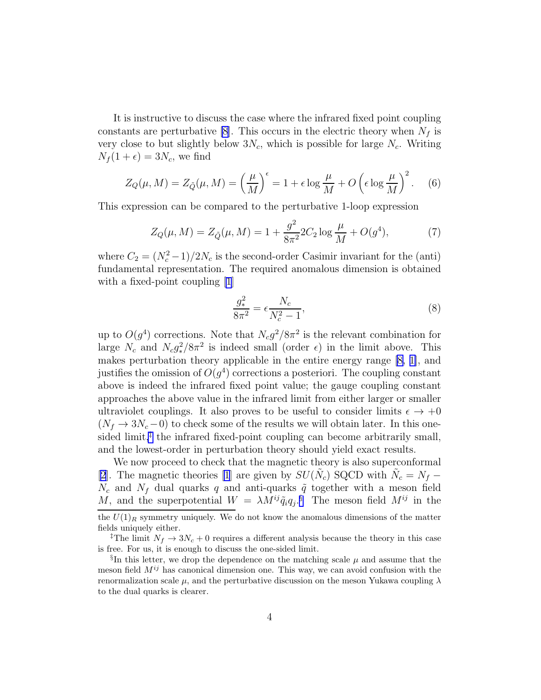<span id="page-4-0"></span>It is instructive to discuss the case where the infrared fixed point coupling constants are perturbative [\[8](#page-23-0)]. This occurs in the electric theory when  $N_f$  is very close to but slightly below  $3N_c$ , which is possible for large  $N_c$ . Writing  $N_f(1+\epsilon) = 3N_c$ , we find

$$
Z_Q(\mu, M) = Z_{\tilde{Q}}(\mu, M) = \left(\frac{\mu}{M}\right)^{\epsilon} = 1 + \epsilon \log \frac{\mu}{M} + O\left(\epsilon \log \frac{\mu}{M}\right)^2. \tag{6}
$$

This expression can be compared to the perturbative 1-loop expression

$$
Z_Q(\mu, M) = Z_{\tilde{Q}}(\mu, M) = 1 + \frac{g^2}{8\pi^2} 2C_2 \log \frac{\mu}{M} + O(g^4),\tag{7}
$$

where  $C_2 = (N_c^2 - 1)/2N_c$  is the second-order Casimir invariant for the (anti) fundamental representation. The required anomalous dimension is obtained with a fixed-point coupling [\[1](#page-22-0)]

$$
\frac{g_*^2}{8\pi^2} = \epsilon \frac{N_c}{N_c^2 - 1},\tag{8}
$$

up to  $O(g^4)$  corrections. Note that  $N_c g^2/8\pi^2$  is the relevant combination for large  $N_c$  and  $N_c g_*^2/8\pi^2$  is indeed small (order  $\epsilon$ ) in the limit above. This makes perturbation theory applicable in the entire energy range [\[8,](#page-23-0) [1\]](#page-22-0), and justifies the omission of  $O(g^4)$  corrections a posteriori. The coupling constant above is indeed the infrared fixed point value; the gauge coupling constant approaches the above value in the infrared limit from either larger or smaller ultraviolet couplings. It also proves to be useful to consider limits  $\epsilon \to +0$  $(N_f \rightarrow 3N_c-0)$  to check some of the results we will obtain later. In this onesided limit,<sup>†</sup> the infrared fixed-point coupling can become arbitrarily small, and the lowest-order in perturbation theory should yield exact results.

We now proceed to check that the magnetic theory is also superconformal [\[2\]](#page-22-0). The magnetic theories [\[1](#page-22-0)] are given by  $SU(\tilde{N}_c)$  SQCD with  $\tilde{N}_c = N_f N_c$  and  $N_f$  dual quarks  $q$  and anti-quarks  $\tilde{q}$  together with a meson field M, and the superpotential  $W = \lambda M^{ij} \tilde{q}_i q_j$ .<sup>§</sup> The meson field  $M^{ij}$  in the the  $U(1)_R$  symmetry uniquely. We do not know the anomalous dimensions of the matter fields uniquely either.

<sup>&</sup>lt;sup>‡</sup>The limit  $N_f \rightarrow 3N_c + 0$  requires a different analysis because the theory in this case is free. For us, it is enough to discuss the one-sided limit.

 $\S$ In this letter, we drop the dependence on the matching scale  $\mu$  and assume that the meson field  $M^{ij}$  has canonical dimension one. This way, we can avoid confusion with the renormalization scale  $\mu$ , and the perturbative discussion on the meson Yukawa coupling  $\lambda$ to the dual quarks is clearer.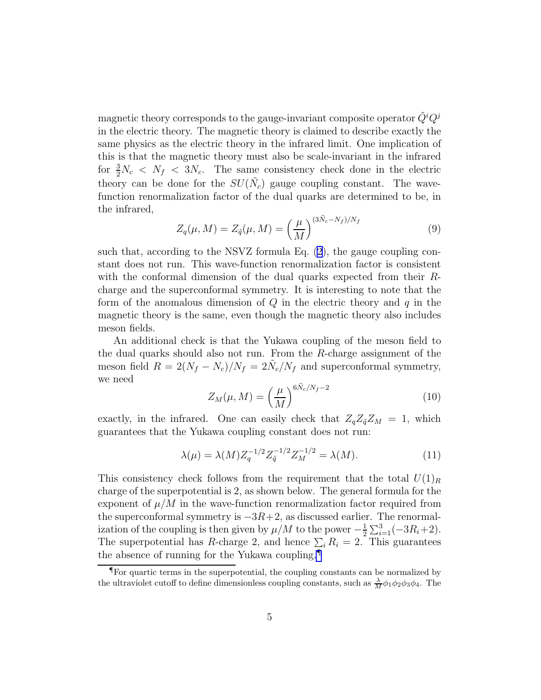magnetic theory corresponds to the gauge-invariant composite operator  $\tilde{Q}^iQ^j$ in the electric theory. The magnetic theory is claimed to describe exactly the same physics as the electric theory in the infrared limit. One implication of this is that the magnetic theory must also be scale-invariant in the infrared for  $\frac{3}{2}N_c$  <  $N_f$  <  $3N_c$ . The same consistency check done in the electric theory can be done for the  $SU(\tilde{N}_c)$  gauge coupling constant. The wavefunction renormalization factor of the dual quarks are determined to be, in the infrared,

$$
Z_q(\mu, M) = Z_{\tilde{q}}(\mu, M) = \left(\frac{\mu}{M}\right)^{(3\tilde{N}_c - N_f)/N_f}
$$
(9)

such that, according to the NSVZ formula Eq. [\(2](#page-2-0)), the gauge coupling constant does not run. This wave-function renormalization factor is consistent with the conformal dimension of the dual quarks expected from their Rcharge and the superconformal symmetry. It is interesting to note that the form of the anomalous dimension of  $Q$  in the electric theory and  $q$  in the magnetic theory is the same, even though the magnetic theory also includes meson fields.

An additional check is that the Yukawa coupling of the meson field to the dual quarks should also not run. From the R-charge assignment of the meson field  $R = 2(N_f - N_c)/N_f = 2\tilde{N}_c/N_f$  and superconformal symmetry, we need

$$
Z_M(\mu, M) = \left(\frac{\mu}{M}\right)^{6\tilde{N}_c/N_f - 2} \tag{10}
$$

exactly, in the infrared. One can easily check that  $Z_q Z_{\tilde{q}} Z_M = 1$ , which guarantees that the Yukawa coupling constant does not run:

$$
\lambda(\mu) = \lambda(M) Z_q^{-1/2} Z_{\tilde{q}}^{-1/2} Z_M^{-1/2} = \lambda(M). \tag{11}
$$

This consistency check follows from the requirement that the total  $U(1)<sub>R</sub>$ charge of the superpotential is 2, as shown below. The general formula for the exponent of  $\mu/M$  in the wave-function renormalization factor required from the superconformal symmetry is  $-3R+2$ , as discussed earlier. The renormalization of the coupling is then given by  $\mu/M$  to the power  $-\frac{1}{2}$  $\frac{1}{2}\sum_{i=1}^{3}(-3R_i+2).$ The superpotential has R-charge 2, and hence  $\sum_i R_i = 2$ . This guarantees the absence of running for the Yukawa coupling.¶

<sup>¶</sup>For quartic terms in the superpotential, the coupling constants can be normalized by the ultraviolet cutoff to define dimensionless coupling constants, such as  $\frac{\lambda}{M}\phi_1\phi_2\phi_3\phi_4$ . The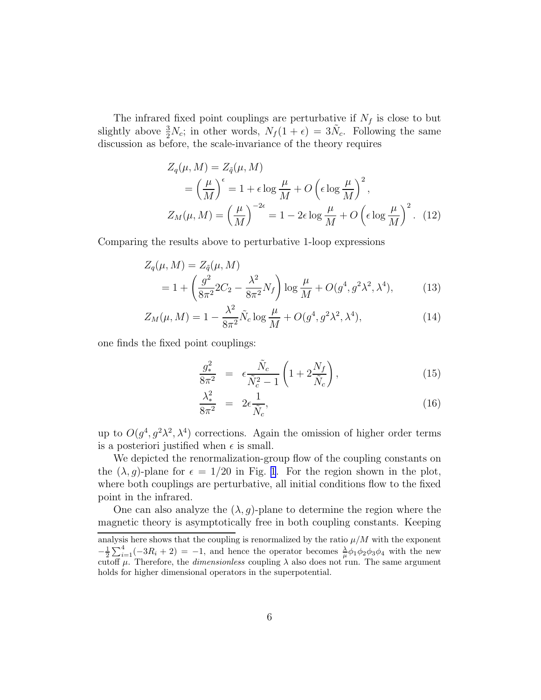The infrared fixed point couplings are perturbative if  $N_f$  is close to but slightly above  $\frac{3}{2}N_c$ ; in other words,  $N_f(1+\epsilon) = 3\tilde{N}_c$ . Following the same discussion as before, the scale-invariance of the theory requires

$$
Z_q(\mu, M) = Z_{\tilde{q}}(\mu, M)
$$
  
=  $\left(\frac{\mu}{M}\right)^{\epsilon} = 1 + \epsilon \log \frac{\mu}{M} + O\left(\epsilon \log \frac{\mu}{M}\right)^2$ ,  

$$
Z_M(\mu, M) = \left(\frac{\mu}{M}\right)^{-2\epsilon} = 1 - 2\epsilon \log \frac{\mu}{M} + O\left(\epsilon \log \frac{\mu}{M}\right)^2
$$
. (12)

Comparing the results above to perturbative 1-loop expressions

$$
Z_q(\mu, M) = Z_{\tilde{q}}(\mu, M)
$$
  
=  $1 + \left(\frac{g^2}{8\pi^2} 2C_2 - \frac{\lambda^2}{8\pi^2} N_f\right) \log \frac{\mu}{M} + O(g^4, g^2 \lambda^2, \lambda^4),$  (13)

$$
Z_M(\mu, M) = 1 - \frac{\lambda^2}{8\pi^2} \tilde{N}_c \log \frac{\mu}{M} + O(g^4, g^2 \lambda^2, \lambda^4), \tag{14}
$$

one finds the fixed point couplings:

$$
\frac{g_*^2}{8\pi^2} = \epsilon \frac{\tilde{N}_c}{\tilde{N}_c^2 - 1} \left( 1 + 2 \frac{N_f}{\tilde{N}_c} \right),\tag{15}
$$

$$
\frac{\lambda_*^2}{8\pi^2} = 2\epsilon \frac{1}{\tilde{N}_c},\tag{16}
$$

up to  $O(g^4, g^2\lambda^2, \lambda^4)$  corrections. Again the omission of higher order terms is a posteriori justified when  $\epsilon$  is small.

We depicted the renormalization-group flow of the coupling constants on the  $(\lambda, g)$ -plane for  $\epsilon = 1/20$  $\epsilon = 1/20$  $\epsilon = 1/20$  in Fig. 1. For the region shown in the plot, where both couplings are perturbative, all initial conditions flow to the fixed point in the infrared.

One can also analyze the  $(\lambda, g)$ -plane to determine the region where the magnetic theory is asymptotically free in both coupling constants. Keeping

analysis here shows that the coupling is renormalized by the ratio  $\mu/M$  with the exponent  $-\frac{1}{2}\sum_{i=1}^{4}(-3R_i+2)=-1$ , and hence the operator becomes  $\frac{\lambda}{\mu}\phi_1\phi_2\phi_3\phi_4$  with the new cutoff  $\mu$ . Therefore, the *dimensionless* coupling  $\lambda$  also does not run. The same argument holds for higher dimensional operators in the superpotential.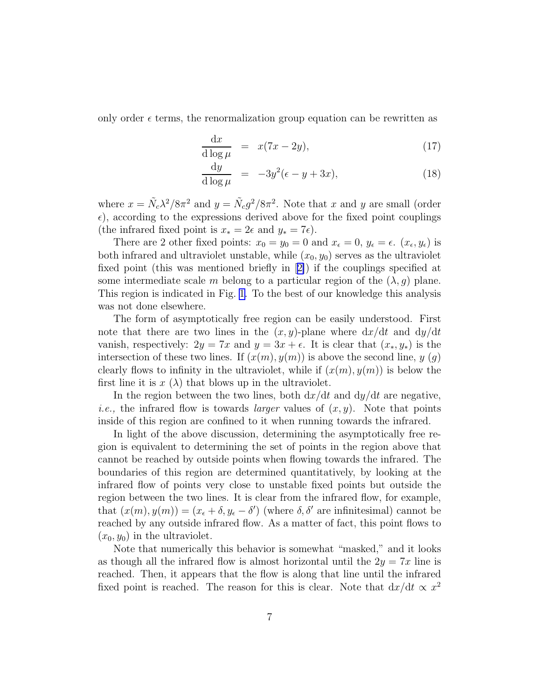only order  $\epsilon$  terms, the renormalization group equation can be rewritten as

$$
\frac{\mathrm{d}x}{\mathrm{d}\log\mu} = x(7x - 2y),\tag{17}
$$

$$
\frac{\mathrm{d}y}{\mathrm{d}\log\mu} = -3y^2(\epsilon - y + 3x),\tag{18}
$$

where  $x = \tilde{N}_c \lambda^2 / 8\pi^2$  and  $y = \tilde{N}_c g^2 / 8\pi^2$ . Note that x and y are small (order  $\epsilon$ ), according to the expressions derived above for the fixed point couplings (the infrared fixed point is  $x_* = 2\epsilon$  and  $y_* = 7\epsilon$ ).

There are 2 other fixed points:  $x_0 = y_0 = 0$  and  $x_{\epsilon} = 0$ ,  $y_{\epsilon} = \epsilon$ .  $(x_{\epsilon}, y_{\epsilon})$  is both infrared and ultraviolet unstable, while  $(x_0, y_0)$  serves as the ultraviolet fixed point (this was mentioned briefly in[[2\]](#page-22-0)) if the couplings specified at some intermediate scale m belong to a particular region of the  $(\lambda, g)$  plane. This region is indicated in Fig. [1.](#page-8-0) To the best of our knowledge this analysis was not done elsewhere.

The form of asymptotically free region can be easily understood. First note that there are two lines in the  $(x, y)$ -plane where  $dx/dt$  and  $dy/dt$ vanish, respectively:  $2y = 7x$  and  $y = 3x + \epsilon$ . It is clear that  $(x_*, y_*)$  is the intersection of these two lines. If  $(x(m), y(m))$  is above the second line, y  $(g)$ clearly flows to infinity in the ultraviolet, while if  $(x(m), y(m))$  is below the first line it is  $x(\lambda)$  that blows up in the ultraviolet.

In the region between the two lines, both  $dx/dt$  and  $dy/dt$  are negative, *i.e.*, the infrared flow is towards *larger* values of  $(x, y)$ . Note that points inside of this region are confined to it when running towards the infrared.

In light of the above discussion, determining the asymptotically free region is equivalent to determining the set of points in the region above that cannot be reached by outside points when flowing towards the infrared. The boundaries of this region are determined quantitatively, by looking at the infrared flow of points very close to unstable fixed points but outside the region between the two lines. It is clear from the infrared flow, for example, that  $(x(m), y(m)) = (x_{\epsilon} + \delta, y_{\epsilon} - \delta')$  (where  $\delta, \delta'$  are infinitesimal) cannot be reached by any outside infrared flow. As a matter of fact, this point flows to  $(x_0, y_0)$  in the ultraviolet.

Note that numerically this behavior is somewhat "masked," and it looks as though all the infrared flow is almost horizontal until the  $2y = 7x$  line is reached. Then, it appears that the flow is along that line until the infrared fixed point is reached. The reason for this is clear. Note that  $dx/dt \propto x^2$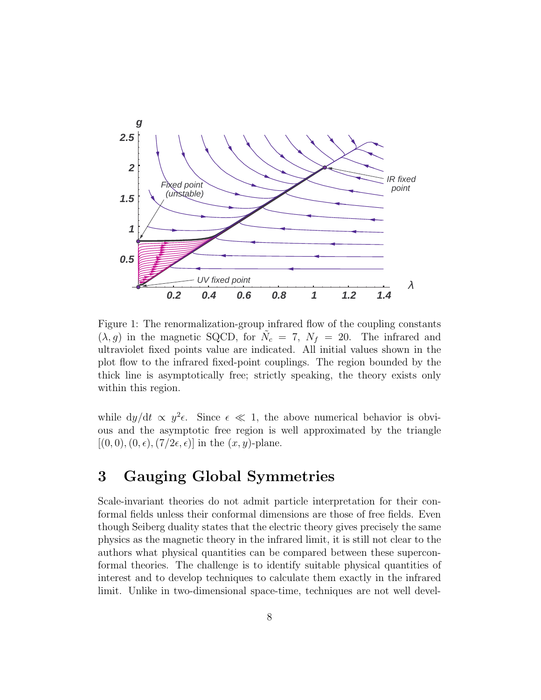<span id="page-8-0"></span>

Figure 1: The renormalization-group infrared flow of the coupling constants  $(\lambda, g)$  in the magnetic SQCD, for  $\tilde{N}_c = 7$ ,  $N_f = 20$ . The infrared and ultraviolet fixed points value are indicated. All initial values shown in the plot flow to the infrared fixed-point couplings. The region bounded by the thick line is asymptotically free; strictly speaking, the theory exists only within this region.

while  $dy/dt \propto y^2 \epsilon$ . Since  $\epsilon \ll 1$ , the above numerical behavior is obvious and the asymptotic free region is well approximated by the triangle  $[(0, 0), (0, \epsilon), (7/2\epsilon, \epsilon)]$  in the  $(x, y)$ -plane.

# 3 Gauging Global Symmetries

Scale-invariant theories do not admit particle interpretation for their conformal fields unless their conformal dimensions are those of free fields. Even though Seiberg duality states that the electric theory gives precisely the same physics as the magnetic theory in the infrared limit, it is still not clear to the authors what physical quantities can be compared between these superconformal theories. The challenge is to identify suitable physical quantities of interest and to develop techniques to calculate them exactly in the infrared limit. Unlike in two-dimensional space-time, techniques are not well devel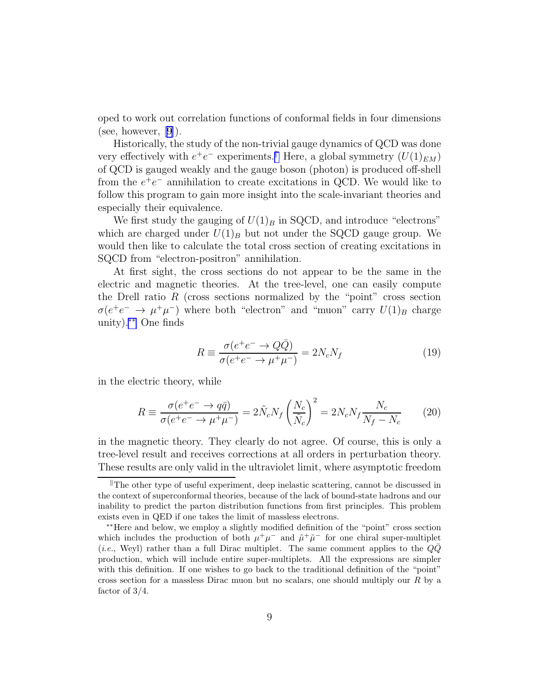<span id="page-9-0"></span>oped to work out correlation functions of conformal fields in four dimensions  $(see, however, [9]).$  $(see, however, [9]).$  $(see, however, [9]).$  $(see, however, [9]).$  $(see, however, [9]).$ 

Historically, the study of the non-trivial gauge dynamics of QCD was done very effectively with  $e^+e^-$  experiments.<sup>||</sup> Here, a global symmetry  $(U(1)_{EM})$ of QCD is gauged weakly and the gauge boson (photon) is produced off-shell from the  $e^+e^-$  annihilation to create excitations in QCD. We would like to follow this program to gain more insight into the scale-invariant theories and especially their equivalence.

We first study the gauging of  $U(1)_B$  in SQCD, and introduce "electrons" which are charged under  $U(1)_B$  but not under the SQCD gauge group. We would then like to calculate the total cross section of creating excitations in SQCD from "electron-positron" annihilation.

At first sight, the cross sections do not appear to be the same in the electric and magnetic theories. At the tree-level, one can easily compute the Drell ratio  $R$  (cross sections normalized by the "point" cross section  $\sigma(e^+e^- \to \mu^+\mu^-)$  where both "electron" and "muon" carry  $U(1)_B$  charge unity).∗∗ One finds

$$
R \equiv \frac{\sigma(e^+e^- \to Q\bar{Q})}{\sigma(e^+e^- \to \mu^+\mu^-)} = 2N_cN_f \tag{19}
$$

in the electric theory, while

$$
R \equiv \frac{\sigma(e^+e^- \to q\bar{q})}{\sigma(e^+e^- \to \mu^+\mu^-)} = 2\tilde{N}_c N_f \left(\frac{N_c}{\tilde{N}_c}\right)^2 = 2N_c N_f \frac{N_c}{N_f - N_c} \tag{20}
$$

in the magnetic theory. They clearly do not agree. Of course, this is only a tree-level result and receives corrections at all orders in perturbation theory. These results are only valid in the ultraviolet limit, where asymptotic freedom

The other type of useful experiment, deep inelastic scattering, cannot be discussed in the context of superconformal theories, because of the lack of bound-state hadrons and our inability to predict the parton distribution functions from first principles. This problem exists even in QED if one takes the limit of massless electrons.

<sup>∗∗</sup>Here and below, we employ a slightly modified definition of the "point" cross section which includes the production of both  $\mu^+\mu^-$  and  $\tilde{\mu}^+\tilde{\mu}^-$  for one chiral super-multiplet (*i.e.*, Weyl) rather than a full Dirac multiplet. The same comment applies to the  $Q\bar{Q}$ production, which will include entire super-multiplets. All the expressions are simpler with this definition. If one wishes to go back to the traditional definition of the "point" cross section for a massless Dirac muon but no scalars, one should multiply our R by a factor of 3/4.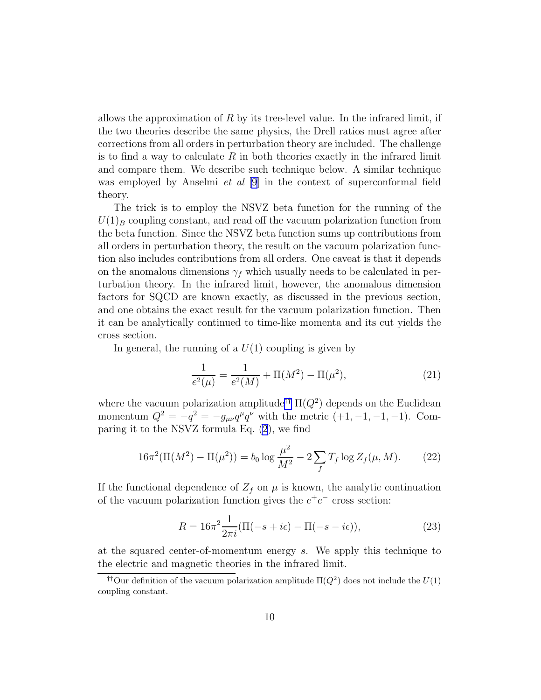<span id="page-10-0"></span>allows the approximation of R by its tree-level value. In the infrared limit, if the two theories describe the same physics, the Drell ratios must agree after corrections from all orders in perturbation theory are included. The challenge is to find a way to calculate  $R$  in both theories exactly in the infrared limit and compare them. We describe such technique below. A similar technique was employed by Anselmi *et al*  $[9]$  $[9]$  in the context of superconformal field theory.

The trick is to employ the NSVZ beta function for the running of the  $U(1)_B$  coupling constant, and read off the vacuum polarization function from the beta function. Since the NSVZ beta function sums up contributions from all orders in perturbation theory, the result on the vacuum polarization function also includes contributions from all orders. One caveat is that it depends on the anomalous dimensions  $\gamma_f$  which usually needs to be calculated in perturbation theory. In the infrared limit, however, the anomalous dimension factors for SQCD are known exactly, as discussed in the previous section, and one obtains the exact result for the vacuum polarization function. Then it can be analytically continued to time-like momenta and its cut yields the cross section.

In general, the running of a  $U(1)$  coupling is given by

$$
\frac{1}{e^2(\mu)} = \frac{1}{e^2(M)} + \Pi(M^2) - \Pi(\mu^2),\tag{21}
$$

where the vacuum polarization amplitude<sup>††</sup>  $\Pi(Q^2)$  depends on the Euclidean momentum  $Q^2 = -q^2 = -g_{\mu\nu}q^{\mu}q^{\nu}$  with the metric  $(+1, -1, -1, -1)$ . Comparing it to the NSVZ formula Eq. [\(2](#page-2-0)), we find

$$
16\pi^2(\Pi(M^2) - \Pi(\mu^2)) = b_0 \log \frac{\mu^2}{M^2} - 2 \sum_f T_f \log Z_f(\mu, M). \tag{22}
$$

If the functional dependence of  $Z_f$  on  $\mu$  is known, the analytic continuation of the vacuum polarization function gives the  $e^+e^-$  cross section:

$$
R = 16\pi^2 \frac{1}{2\pi i} (\Pi(-s + i\epsilon) - \Pi(-s - i\epsilon)),\tag{23}
$$

at the squared center-of-momentum energy s. We apply this technique to the electric and magnetic theories in the infrared limit.

<sup>&</sup>lt;sup>††</sup>Our definition of the vacuum polarization amplitude  $\Pi(Q^2)$  does not include the  $U(1)$ coupling constant.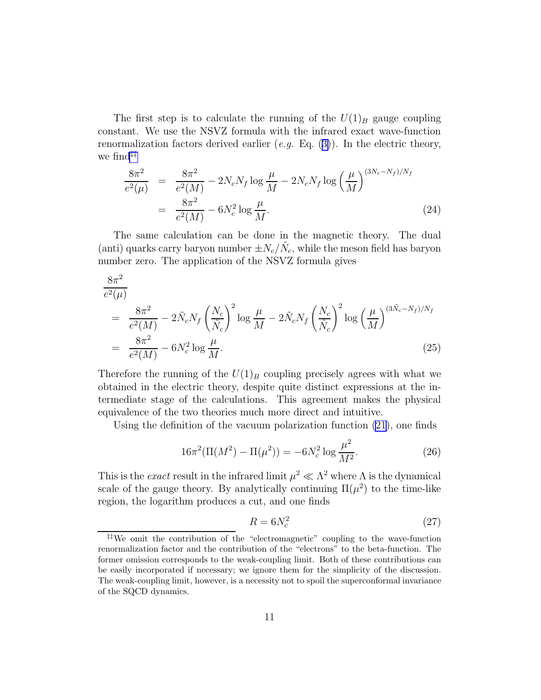<span id="page-11-0"></span>The first step is to calculate the running of the  $U(1)_B$  gauge coupling constant. We use the NSVZ formula with the infrared exact wave-function renormalizationfactors derived earlier (*e.g.* Eq. ([3\)](#page-3-0)). In the electric theory, we find<sup>‡‡</sup>

$$
\frac{8\pi^2}{e^2(\mu)} = \frac{8\pi^2}{e^2(M)} - 2N_cN_f \log \frac{\mu}{M} - 2N_cN_f \log \left(\frac{\mu}{M}\right)^{(3N_c - N_f)/N_f}
$$
  
= 
$$
\frac{8\pi^2}{e^2(M)} - 6N_c^2 \log \frac{\mu}{M}.
$$
 (24)

The same calculation can be done in the magnetic theory. The dual (anti) quarks carry baryon number  $\pm N_c/\tilde{N}_c$ , while the meson field has baryon number zero. The application of the NSVZ formula gives

$$
\frac{8\pi^2}{e^2(\mu)}
$$
\n
$$
= \frac{8\pi^2}{e^2(M)} - 2\tilde{N}_c N_f \left(\frac{N_c}{\tilde{N}_c}\right)^2 \log\frac{\mu}{M} - 2\tilde{N}_c N_f \left(\frac{N_c}{\tilde{N}_c}\right)^2 \log\left(\frac{\mu}{M}\right)^{(3\tilde{N}_c - N_f)/N_f}
$$
\n
$$
= \frac{8\pi^2}{e^2(M)} - 6N_c^2 \log\frac{\mu}{M}.
$$
\n(25)

Therefore the running of the  $U(1)_B$  coupling precisely agrees with what we obtained in the electric theory, despite quite distinct expressions at the intermediate stage of the calculations. This agreement makes the physical equivalence of the two theories much more direct and intuitive.

Using the definition of the vacuum polarization function [\(21](#page-10-0)), one finds

$$
16\pi^2(\Pi(M^2) - \Pi(\mu^2)) = -6N_c^2 \log \frac{\mu^2}{M^2}.
$$
 (26)

This is the *exact* result in the infrared limit  $\mu^2 \ll \Lambda^2$  where  $\Lambda$  is the dynamical scale of the gauge theory. By analytically continuing  $\Pi(\mu^2)$  to the time-like region, the logarithm produces a cut, and one finds

$$
R = 6N_c^2 \tag{27}
$$

<sup>‡‡</sup>We omit the contribution of the "electromagnetic" coupling to the wave-function renormalization factor and the contribution of the "electrons" to the beta-function. The former omission corresponds to the weak-coupling limit. Both of these contributions can be easily incorporated if necessary; we ignore them for the simplicity of the discussion. The weak-coupling limit, however, is a necessity not to spoil the superconformal invariance of the SQCD dynamics.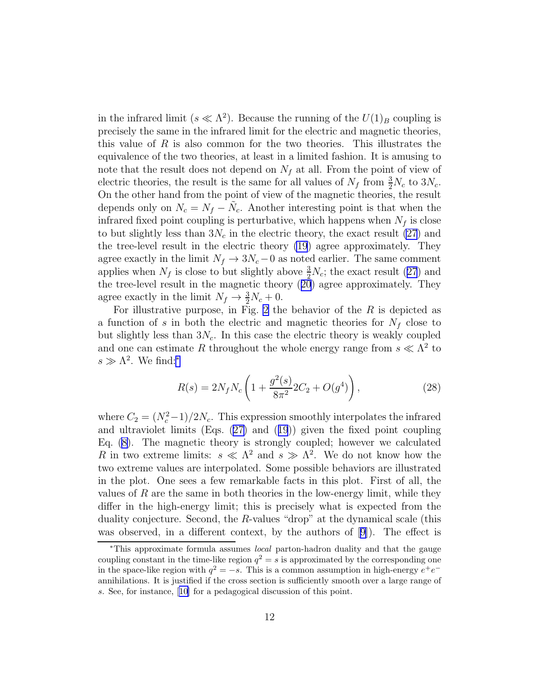<span id="page-12-0"></span>in the infrared limit  $(s \ll \Lambda^2)$ . Because the running of the  $U(1)_B$  coupling is precisely the same in the infrared limit for the electric and magnetic theories, this value of  $R$  is also common for the two theories. This illustrates the equivalence of the two theories, at least in a limited fashion. It is amusing to note that the result does not depend on  $N_f$  at all. From the point of view of electric theories, the result is the same for all values of  $N_f$  from  $\frac{3}{2}N_c$  to  $3N_c$ . On the other hand from the point of view of the magnetic theories, the result depends only on  $N_c = N_f - \tilde{N}_c$ . Another interesting point is that when the infrared fixed point coupling is perturbative, which happens when  $N_f$  is close to but slightly less than  $3N_c$  in the electric theory, the exact result [\(27](#page-11-0)) and the tree-level result in the electric theory [\(19](#page-9-0)) agree approximately. They agree exactly in the limit  $N_f \rightarrow 3N_c-0$  as noted earlier. The same comment applieswhen  $N_f$  is close to but slightly above  $\frac{3}{2}N_c$ ; the exact result ([27](#page-11-0)) and the tree-level result in the magnetic theory([20](#page-9-0)) agree approximately. They agree exactly in the limit  $N_f \rightarrow \frac{3}{2}N_c + 0$ .

For illustrative purpose, in Fig. [2](#page-13-0) the behavior of the  $R$  is depicted as a function of s in both the electric and magnetic theories for  $N_f$  close to but slightly less than  $3N_c$ . In this case the electric theory is weakly coupled and one can estimate R throughout the whole energy range from  $s \ll \Lambda^2$  to  $s \gg \Lambda^2$ . We find:<sup>\*</sup>

$$
R(s) = 2N_f N_c \left( 1 + \frac{g^2(s)}{8\pi^2} 2C_2 + O(g^4) \right),\tag{28}
$$

where  $C_2 = (N_c^2 - 1)/2N_c$ . This expression smoothly interpolates the infrared andultraviolet limits (Eqs.  $(27)$  $(27)$  and  $(19)$  $(19)$  $(19)$ ) given the fixed point coupling Eq.([8\)](#page-4-0). The magnetic theory is strongly coupled; however we calculated R in two extreme limits:  $s \ll \Lambda^2$  and  $s \gg \Lambda^2$ . We do not know how the two extreme values are interpolated. Some possible behaviors are illustrated in the plot. One sees a few remarkable facts in this plot. First of all, the values of  $R$  are the same in both theories in the low-energy limit, while they differ in the high-energy limit; this is precisely what is expected from the duality conjecture. Second, the R-values "drop" at the dynamical scale (this was observed, in a different context, by the authors of  $[9]$ . The effect is

<sup>∗</sup>This approximate formula assumes local parton-hadron duality and that the gauge coupling constant in the time-like region  $q^2 = s$  is approximated by the corresponding one in the space-like region with  $q^2 = -s$ . This is a common assumption in high-energy  $e^+e^$ annihilations. It is justified if the cross section is sufficiently smooth over a large range of s. See, for instance,[[10\]](#page-23-0) for a pedagogical discussion of this point.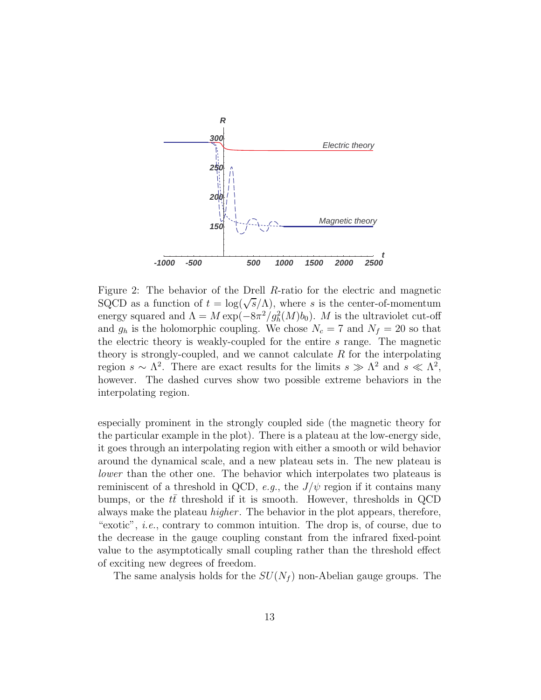<span id="page-13-0"></span>

Figure 2: The behavior of the Drell R-ratio for the electric and magnetic SQCD as a function of  $t = \log(\sqrt{s}/\Lambda)$ , where s is the center-of-momentum energy squared and  $\Lambda = M \exp(-8\pi^2/g_h^2(M)b_0)$ . M is the ultraviolet cut-off and  $g_h$  is the holomorphic coupling. We chose  $N_c = 7$  and  $N_f = 20$  so that the electric theory is weakly-coupled for the entire s range. The magnetic theory is strongly-coupled, and we cannot calculate  $R$  for the interpolating region  $s \sim \Lambda^2$ . There are exact results for the limits  $s \gg \Lambda^2$  and  $s \ll \Lambda^2$ , however. The dashed curves show two possible extreme behaviors in the interpolating region.

especially prominent in the strongly coupled side (the magnetic theory for the particular example in the plot). There is a plateau at the low-energy side, it goes through an interpolating region with either a smooth or wild behavior around the dynamical scale, and a new plateau sets in. The new plateau is lower than the other one. The behavior which interpolates two plateaus is reminiscent of a threshold in QCD, e.g., the  $J/\psi$  region if it contains many bumps, or the  $tt$  threshold if it is smooth. However, thresholds in  $QCD$ always make the plateau *higher*. The behavior in the plot appears, therefore, "exotic", i.e., contrary to common intuition. The drop is, of course, due to the decrease in the gauge coupling constant from the infrared fixed-point value to the asymptotically small coupling rather than the threshold effect of exciting new degrees of freedom.

The same analysis holds for the  $SU(N_f)$  non-Abelian gauge groups. The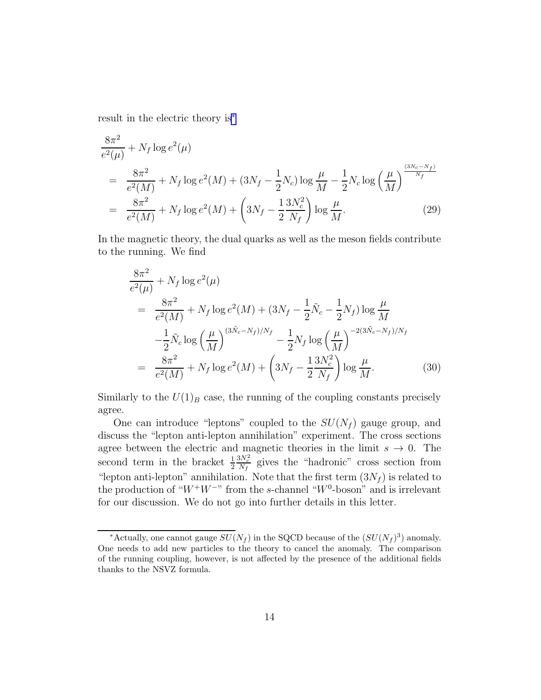result in the electric theory is<sup>∗</sup>

$$
\frac{8\pi^2}{e^2(\mu)} + N_f \log e^2(\mu)
$$
\n
$$
= \frac{8\pi^2}{e^2(M)} + N_f \log e^2(M) + (3N_f - \frac{1}{2}N_c) \log \frac{\mu}{M} - \frac{1}{2}N_c \log \left(\frac{\mu}{M}\right)^{\frac{(3N_c - N_f)}{N_f}}
$$
\n
$$
= \frac{8\pi^2}{e^2(M)} + N_f \log e^2(M) + \left(3N_f - \frac{1}{2}\frac{3N_c^2}{N_f}\right) \log \frac{\mu}{M}.
$$
\n(29)

In the magnetic theory, the dual quarks as well as the meson fields contribute to the running. We find

$$
\frac{8\pi^2}{e^2(\mu)} + N_f \log e^2(\mu)
$$
\n
$$
= \frac{8\pi^2}{e^2(M)} + N_f \log e^2(M) + (3N_f - \frac{1}{2}\tilde{N}_c - \frac{1}{2}N_f) \log \frac{\mu}{M}
$$
\n
$$
- \frac{1}{2}\tilde{N}_c \log \left(\frac{\mu}{M}\right)^{(3\tilde{N}_c - N_f)/N_f} - \frac{1}{2}N_f \log \left(\frac{\mu}{M}\right)^{-2(3\tilde{N}_c - N_f)/N_f}
$$
\n
$$
= \frac{8\pi^2}{e^2(M)} + N_f \log e^2(M) + \left(3N_f - \frac{1}{2}\frac{3N_c^2}{N_f}\right) \log \frac{\mu}{M}.
$$
\n(30)

Similarly to the  $U(1)_B$  case, the running of the coupling constants precisely agree.

One can introduce "leptons" coupled to the  $SU(N_f)$  gauge group, and discuss the "lepton anti-lepton annihilation" experiment. The cross sections agree between the electric and magnetic theories in the limit  $s \to 0$ . The second term in the bracket  $\frac{1}{2}$  $\frac{3N_c^2}{N_f}$  gives the "hadronic" cross section from "lepton anti-lepton" annihilation. Note that the first term  $(3N_f)$  is related to the production of " $W^+W^-$ " from the s-channel "W<sup>0</sup>-boson" and is irrelevant for our discussion. We do not go into further details in this letter.

<sup>\*</sup>Actually, one cannot gauge  $SU(N_f)$  in the SQCD because of the  $(SU(N_f)^3)$  anomaly. One needs to add new particles to the theory to cancel the anomaly. The comparison of the running coupling, however, is not affected by the presence of the additional fields thanks to the NSVZ formula.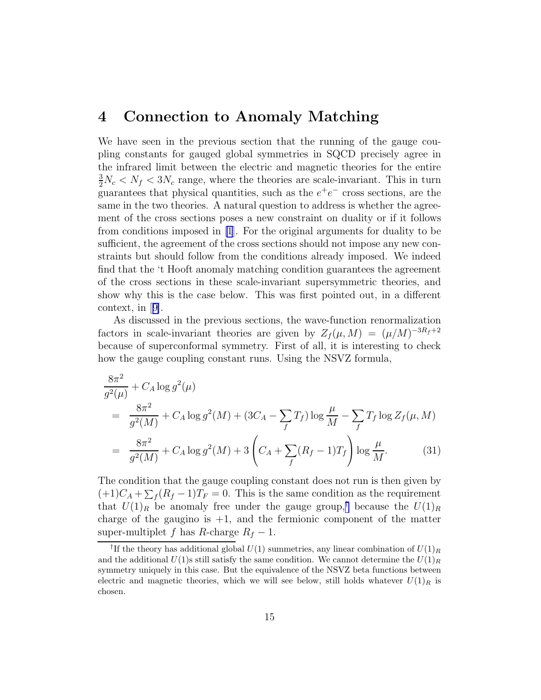#### 4 Connection to Anomaly Matching

We have seen in the previous section that the running of the gauge coupling constants for gauged global symmetries in SQCD precisely agree in the infrared limit between the electric and magnetic theories for the entire  $\frac{3}{2}N_c < N_f < 3N_c$  range, where the theories are scale-invariant. This in turn guarantees that physical quantities, such as the  $e^+e^-$  cross sections, are the same in the two theories. A natural question to address is whether the agreement of the cross sections poses a new constraint on duality or if it follows from conditions imposed in [\[1](#page-22-0)]. For the original arguments for duality to be sufficient, the agreement of the cross sections should not impose any new constraints but should follow from the conditions already imposed. We indeed find that the 't Hooft anomaly matching condition guarantees the agreement of the cross sections in these scale-invariant supersymmetric theories, and show why this is the case below. This was first pointed out, in a different context, in[[9\]](#page-23-0).

As discussed in the previous sections, the wave-function renormalization factors in scale-invariant theories are given by  $Z_f(\mu, M) = (\mu/M)^{-3R_f+2}$ because of superconformal symmetry. First of all, it is interesting to check how the gauge coupling constant runs. Using the NSVZ formula,

$$
\frac{8\pi^2}{g^2(\mu)} + C_A \log g^2(\mu)
$$
  
= 
$$
\frac{8\pi^2}{g^2(M)} + C_A \log g^2(M) + (3C_A - \sum_f T_f) \log \frac{\mu}{M} - \sum_f T_f \log Z_f(\mu, M)
$$
  
= 
$$
\frac{8\pi^2}{g^2(M)} + C_A \log g^2(M) + 3\left(C_A + \sum_f (R_f - 1)T_f\right) \log \frac{\mu}{M}.
$$
 (31)

The condition that the gauge coupling constant does not run is then given by  $(+1)C_A + \sum_f (R_f - 1)T_F = 0$ . This is the same condition as the requirement that  $U(1)_R$  be anomaly free under the gauge group,<sup>†</sup> because the  $U(1)_R$ charge of the gaugino is  $+1$ , and the fermionic component of the matter super-multiplet f has R-charge  $R_f - 1$ .

<sup>&</sup>lt;sup>†</sup>If the theory has additional global  $U(1)$  summetries, any linear combination of  $U(1)<sub>R</sub>$ and the additional  $U(1)$ s still satisfy the same condition. We cannot determine the  $U(1)<sub>R</sub>$ symmetry uniquely in this case. But the equivalence of the NSVZ beta functions between electric and magnetic theories, which we will see below, still holds whatever  $U(1)_R$  is chosen.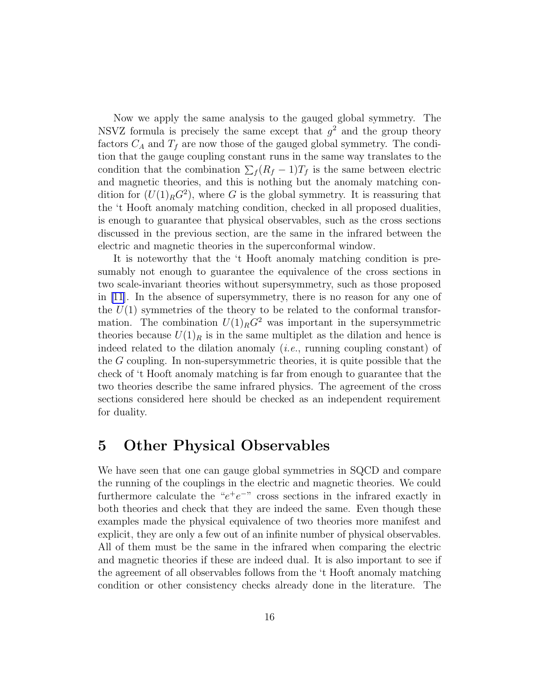Now we apply the same analysis to the gauged global symmetry. The NSVZ formula is precisely the same except that  $g^2$  and the group theory factors  $C_A$  and  $T_f$  are now those of the gauged global symmetry. The condition that the gauge coupling constant runs in the same way translates to the condition that the combination  $\sum_{f} (R_f - 1)T_f$  is the same between electric and magnetic theories, and this is nothing but the anomaly matching condition for  $(U(1)<sub>R</sub> G<sup>2</sup>)$ , where G is the global symmetry. It is reassuring that the 't Hooft anomaly matching condition, checked in all proposed dualities, is enough to guarantee that physical observables, such as the cross sections discussed in the previous section, are the same in the infrared between the electric and magnetic theories in the superconformal window.

It is noteworthy that the 't Hooft anomaly matching condition is presumably not enough to guarantee the equivalence of the cross sections in two scale-invariant theories without supersymmetry, such as those proposed in [\[11\]](#page-23-0). In the absence of supersymmetry, there is no reason for any one of the  $U(1)$  symmetries of the theory to be related to the conformal transformation. The combination  $U(1)_{R}G^{2}$  was important in the supersymmetric theories because  $U(1)<sub>R</sub>$  is in the same multiplet as the dilation and hence is indeed related to the dilation anomaly (i.e., running coupling constant) of the G coupling. In non-supersymmetric theories, it is quite possible that the check of 't Hooft anomaly matching is far from enough to guarantee that the two theories describe the same infrared physics. The agreement of the cross sections considered here should be checked as an independent requirement for duality.

#### 5 Other Physical Observables

We have seen that one can gauge global symmetries in SQCD and compare the running of the couplings in the electric and magnetic theories. We could furthermore calculate the " $e^+e^-$ " cross sections in the infrared exactly in both theories and check that they are indeed the same. Even though these examples made the physical equivalence of two theories more manifest and explicit, they are only a few out of an infinite number of physical observables. All of them must be the same in the infrared when comparing the electric and magnetic theories if these are indeed dual. It is also important to see if the agreement of all observables follows from the 't Hooft anomaly matching condition or other consistency checks already done in the literature. The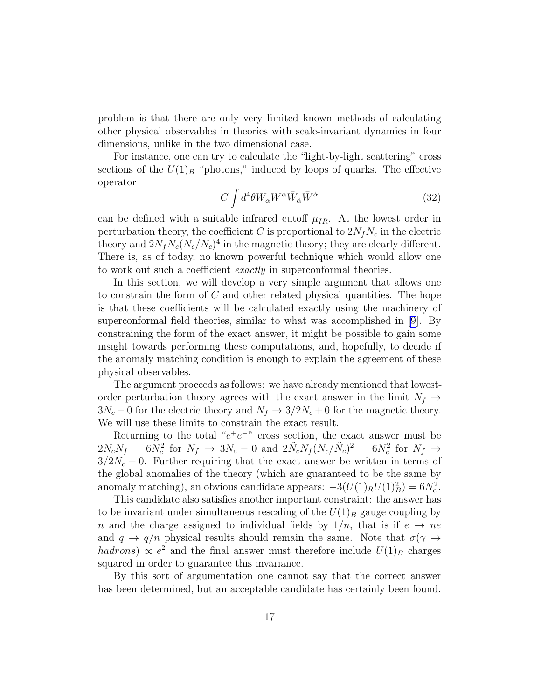problem is that there are only very limited known methods of calculating other physical observables in theories with scale-invariant dynamics in four dimensions, unlike in the two dimensional case.

For instance, one can try to calculate the "light-by-light scattering" cross sections of the  $U(1)_B$  "photons," induced by loops of quarks. The effective operator

$$
C \int d^4 \theta W_\alpha W^\alpha \bar{W}_{\dot{\alpha}} \bar{W}^{\dot{\alpha}} \tag{32}
$$

can be defined with a suitable infrared cutoff  $\mu_{IR}$ . At the lowest order in perturbation theory, the coefficient C is proportional to  $2N_fN_c$  in the electric theory and  $2N_f\tilde{N}_c(N_c/\tilde{N}_c)^4$  in the magnetic theory; they are clearly different. There is, as of today, no known powerful technique which would allow one to work out such a coefficient *exactly* in superconformal theories.

In this section, we will develop a very simple argument that allows one to constrain the form of  $C$  and other related physical quantities. The hope is that these coefficients will be calculated exactly using the machinery of superconformal field theories, similar to what was accomplished in [\[9\]](#page-23-0). By constraining the form of the exact answer, it might be possible to gain some insight towards performing these computations, and, hopefully, to decide if the anomaly matching condition is enough to explain the agreement of these physical observables.

The argument proceeds as follows: we have already mentioned that lowestorder perturbation theory agrees with the exact answer in the limit  $N_f$   $\rightarrow$  $3N_c - 0$  for the electric theory and  $N_f \rightarrow 3/2N_c + 0$  for the magnetic theory. We will use these limits to constrain the exact result.

Returning to the total " $e^+e^-$ " cross section, the exact answer must be  $2N_cN_f = 6N_c^2$  for  $N_f \rightarrow 3N_c - 0$  and  $2\tilde{N}_cN_f(N_c/\tilde{N}_c)^2 = 6N_c^2$  for  $N_f \rightarrow$  $3/2N_c + 0$ . Further requiring that the exact answer be written in terms of the global anomalies of the theory (which are guaranteed to be the same by anomaly matching), an obvious candidate appears:  $-3(U(1)_R U(1)_B^2) = 6N_c^2$ .

This candidate also satisfies another important constraint: the answer has to be invariant under simultaneous rescaling of the  $U(1)_B$  gauge coupling by n and the charge assigned to individual fields by  $1/n$ , that is if  $e \rightarrow ne$ and  $q \to q/n$  physical results should remain the same. Note that  $\sigma(\gamma \to$ hadrons)  $\propto e^2$  and the final answer must therefore include  $U(1)_B$  charges squared in order to guarantee this invariance.

By this sort of argumentation one cannot say that the correct answer has been determined, but an acceptable candidate has certainly been found.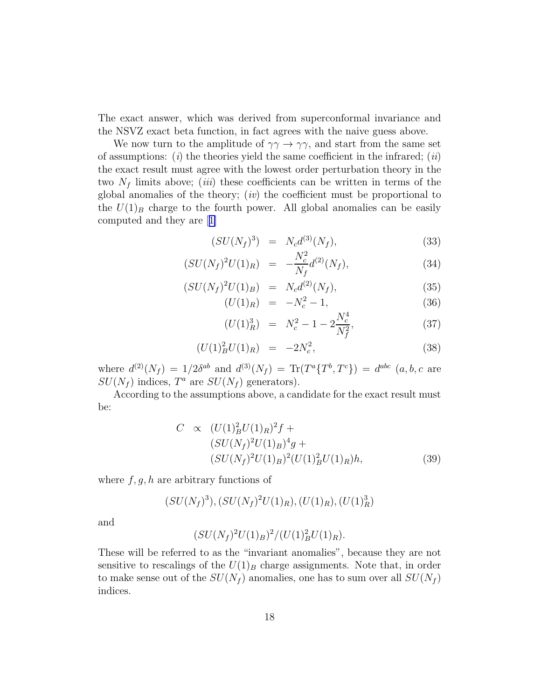The exact answer, which was derived from superconformal invariance and the NSVZ exact beta function, in fact agrees with the naive guess above.

We now turn to the amplitude of  $\gamma\gamma \rightarrow \gamma\gamma$ , and start from the same set of assumptions: (i) the theories yield the same coefficient in the infrared;  $(ii)$ the exact result must agree with the lowest order perturbation theory in the two  $N_f$  limits above; *(iii)* these coefficients can be written in terms of the global anomalies of the theory;  $(iv)$  the coefficient must be proportional to the  $U(1)_B$  charge to the fourth power. All global anomalies can be easily computed and they are[[1\]](#page-22-0)

$$
(SU(N_f)^3) = N_c d^{(3)}(N_f), \tag{33}
$$

$$
(SU(N_f)^2 U(1)_R) = -\frac{N_c^2}{N_f} d^{(2)}(N_f), \tag{34}
$$

$$
(SU(N_f)^2 U(1)_B) = N_c d^{(2)}(N_f), \tag{35}
$$

$$
(U(1)_R) = -N_c^2 - 1,\t\t(36)
$$

$$
(U(1)^3_R) = N_c^2 - 1 - 2\frac{N_c^4}{N_f^2},
$$
\n(37)

$$
(U(1)_B^2 U(1)_R) = -2N_c^2, \tag{38}
$$

where  $d^{(2)}(N_f) = 1/2\delta^{ab}$  and  $d^{(3)}(N_f) = \text{Tr}(T^a\{T^b, T^c\}) = d^{abc}$   $(a, b, c$  are  $SU(N_f)$  indices,  $T^a$  are  $SU(N_f)$  generators).

According to the assumptions above, a candidate for the exact result must be:

$$
C \propto (U(1)_B^2 U(1)_R)^2 f +
$$
  
\n
$$
(SU(N_f)^2 U(1)_B)^4 g +
$$
  
\n
$$
(SU(N_f)^2 U(1)_B)^2 (U(1)_B^2 U(1)_R) h,
$$
\n(39)

where  $f, g, h$  are arbitrary functions of

$$
(SU(N_f)^3), (SU(N_f)^2 U(1)_R), (U(1)_R), (U(1)_R^3)
$$

and

$$
(SU(N_f)^2 U(1)_B)^2 / (U(1)_B^2 U(1)_R).
$$

These will be referred to as the "invariant anomalies", because they are not sensitive to rescalings of the  $U(1)_B$  charge assignments. Note that, in order to make sense out of the  $SU(N_f)$  anomalies, one has to sum over all  $SU(N_f)$ indices.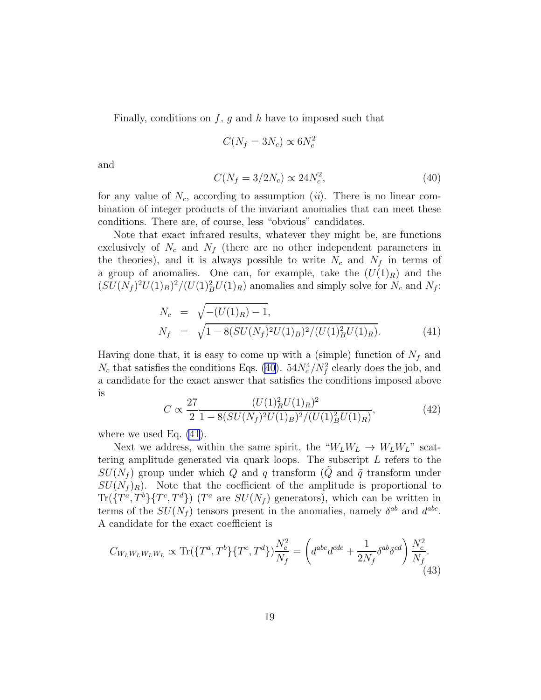<span id="page-19-0"></span>Finally, conditions on  $f, g$  and h have to imposed such that

$$
C(N_f = 3N_c) \propto 6N_c^2
$$

and

$$
C(N_f = 3/2N_c) \propto 24N_c^2,\tag{40}
$$

for any value of  $N_c$ , according to assumption *(ii)*. There is no linear combination of integer products of the invariant anomalies that can meet these conditions. There are, of course, less "obvious" candidates.

Note that exact infrared results, whatever they might be, are functions exclusively of  $N_c$  and  $N_f$  (there are no other independent parameters in the theories), and it is always possible to write  $N_c$  and  $N_f$  in terms of a group of anomalies. One can, for example, take the  $(U(1)<sub>R</sub>)$  and the  $(SU(N_f)^2 U(1)_B)^2 / (U(1)_B^2 U(1)_R)$  anomalies and simply solve for  $N_c$  and  $N_f$ :

$$
N_c = \sqrt{- (U(1)_R) - 1},
$$
  
\n
$$
N_f = \sqrt{1 - 8(SU(N_f)^2 U(1)_B)^2 / (U(1)_B^2 U(1)_R)}.
$$
\n(41)

Having done that, it is easy to come up with a (simple) function of  $N_f$  and  $N_c$  that satisfies the conditions Eqs. (40).  $54N_c^4/N_f^2$  clearly does the job, and a candidate for the exact answer that satisfies the conditions imposed above is

$$
C \propto \frac{27}{2} \frac{(U(1)_B^2 U(1)_R)^2}{1 - 8(SU(N_f)^2 U(1)_B)^2 / (U(1)_B^2 U(1)_R)},
$$
(42)

where we used Eq.  $(41)$ .

Next we address, within the same spirit, the " $W_L W_L \rightarrow W_L W_L$ " scattering amplitude generated via quark loops. The subscript L refers to the  $SU(N_f)$  group under which Q and q transform (Q and  $\tilde{q}$  transform under  $SU(N_f)_R$ ). Note that the coefficient of the amplitude is proportional to  $Tr({T^a},T^b){T^c},T^d)$  ( $T^a$  are  $SU(N_f)$  generators), which can be written in terms of the  $SU(N_f)$  tensors present in the anomalies, namely  $\delta^{ab}$  and  $d^{abc}$ . A candidate for the exact coefficient is

$$
C_{W_L W_L W_L W_L} \propto \text{Tr}(\{T^a, T^b\} \{T^c, T^d\}) \frac{N_c^2}{N_f} = \left(d^{abe} d^{cde} + \frac{1}{2N_f} \delta^{ab} \delta^{cd}\right) \frac{N_c^2}{N_f}.
$$
\n(43)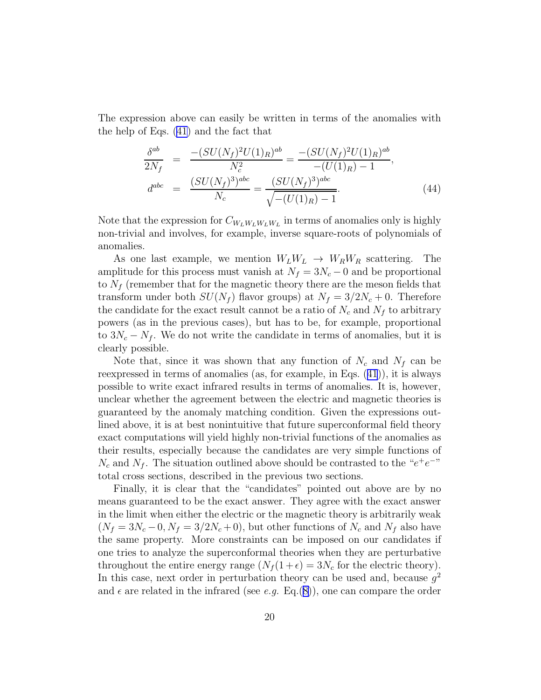The expression above can easily be written in terms of the anomalies with the help of Eqs. [\(41\)](#page-19-0) and the fact that

$$
\frac{\delta^{ab}}{2N_f} = \frac{-(SU(N_f)^2 U(1)_R)^{ab}}{N_c^2} = \frac{-(SU(N_f)^2 U(1)_R)^{ab}}{-(U(1)_R) - 1},
$$
\n
$$
d^{abc} = \frac{(SU(N_f)^3)^{abc}}{N_c} = \frac{(SU(N_f)^3)^{abc}}{\sqrt{-(U(1)_R) - 1}}.
$$
\n(44)

Note that the expression for  $C_{W_L W_L W_L W_L}$  in terms of anomalies only is highly non-trivial and involves, for example, inverse square-roots of polynomials of anomalies.

As one last example, we mention  $W_L W_L \rightarrow W_R W_R$  scattering. The amplitude for this process must vanish at  $N_f = 3N_c - 0$  and be proportional to  $N_f$  (remember that for the magnetic theory there are the meson fields that transform under both  $SU(N_f)$  flavor groups) at  $N_f = 3/2N_c + 0$ . Therefore the candidate for the exact result cannot be a ratio of  $N_c$  and  $N_f$  to arbitrary powers (as in the previous cases), but has to be, for example, proportional to  $3N_c - N_f$ . We do not write the candidate in terms of anomalies, but it is clearly possible.

Note that, since it was shown that any function of  $N_c$  and  $N_f$  can be reexpressed in terms of anomalies (as, for example, in Eqs.([41](#page-19-0))), it is always possible to write exact infrared results in terms of anomalies. It is, however, unclear whether the agreement between the electric and magnetic theories is guaranteed by the anomaly matching condition. Given the expressions outlined above, it is at best nonintuitive that future superconformal field theory exact computations will yield highly non-trivial functions of the anomalies as their results, especially because the candidates are very simple functions of  $N_c$  and  $N_f$ . The situation outlined above should be contrasted to the " $e^+e^-$ " total cross sections, described in the previous two sections.

Finally, it is clear that the "candidates" pointed out above are by no means guaranteed to be the exact answer. They agree with the exact answer in the limit when either the electric or the magnetic theory is arbitrarily weak  $(N_f = 3N_c - 0, N_f = 3/2N_c + 0)$ , but other functions of  $N_c$  and  $N_f$  also have the same property. More constraints can be imposed on our candidates if one tries to analyze the superconformal theories when they are perturbative throughout the entire energy range  $(N_f(1+\epsilon) = 3N_c$  for the electric theory). In this case, next order in perturbation theory can be used and, because  $g^2$ and  $\epsilon$  are related in the infrared (see e.g. Eq.([8\)](#page-4-0)), one can compare the order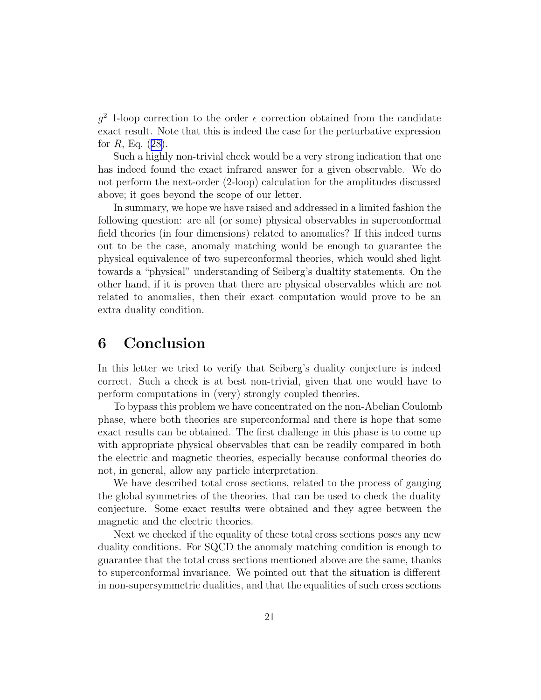$g<sup>2</sup>$  1-loop correction to the order  $\epsilon$  correction obtained from the candidate exact result. Note that this is indeed the case for the perturbative expression for $R$ , Eq.  $(28)$  $(28)$ .

Such a highly non-trivial check would be a very strong indication that one has indeed found the exact infrared answer for a given observable. We do not perform the next-order (2-loop) calculation for the amplitudes discussed above; it goes beyond the scope of our letter.

In summary, we hope we have raised and addressed in a limited fashion the following question: are all (or some) physical observables in superconformal field theories (in four dimensions) related to anomalies? If this indeed turns out to be the case, anomaly matching would be enough to guarantee the physical equivalence of two superconformal theories, which would shed light towards a "physical" understanding of Seiberg's dualtity statements. On the other hand, if it is proven that there are physical observables which are not related to anomalies, then their exact computation would prove to be an extra duality condition.

### 6 Conclusion

In this letter we tried to verify that Seiberg's duality conjecture is indeed correct. Such a check is at best non-trivial, given that one would have to perform computations in (very) strongly coupled theories.

To bypass this problem we have concentrated on the non-Abelian Coulomb phase, where both theories are superconformal and there is hope that some exact results can be obtained. The first challenge in this phase is to come up with appropriate physical observables that can be readily compared in both the electric and magnetic theories, especially because conformal theories do not, in general, allow any particle interpretation.

We have described total cross sections, related to the process of gauging the global symmetries of the theories, that can be used to check the duality conjecture. Some exact results were obtained and they agree between the magnetic and the electric theories.

Next we checked if the equality of these total cross sections poses any new duality conditions. For SQCD the anomaly matching condition is enough to guarantee that the total cross sections mentioned above are the same, thanks to superconformal invariance. We pointed out that the situation is different in non-supersymmetric dualities, and that the equalities of such cross sections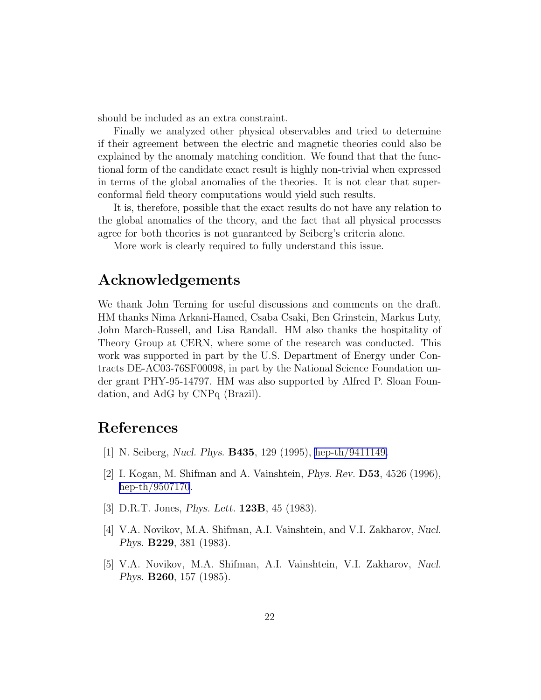<span id="page-22-0"></span>should be included as an extra constraint.

Finally we analyzed other physical observables and tried to determine if their agreement between the electric and magnetic theories could also be explained by the anomaly matching condition. We found that that the functional form of the candidate exact result is highly non-trivial when expressed in terms of the global anomalies of the theories. It is not clear that superconformal field theory computations would yield such results.

It is, therefore, possible that the exact results do not have any relation to the global anomalies of the theory, and the fact that all physical processes agree for both theories is not guaranteed by Seiberg's criteria alone.

More work is clearly required to fully understand this issue.

## Acknowledgements

We thank John Terning for useful discussions and comments on the draft. HM thanks Nima Arkani-Hamed, Csaba Csaki, Ben Grinstein, Markus Luty, John March-Russell, and Lisa Randall. HM also thanks the hospitality of Theory Group at CERN, where some of the research was conducted. This work was supported in part by the U.S. Department of Energy under Contracts DE-AC03-76SF00098, in part by the National Science Foundation under grant PHY-95-14797. HM was also supported by Alfred P. Sloan Foundation, and AdG by CNPq (Brazil).

## References

- [1] N. Seiberg, Nucl. Phys. B435, 129 (1995), [hep-th/9411149.](http://arxiv.org/abs/hep-th/9411149)
- [2] I. Kogan, M. Shifman and A. Vainshtein, Phys. Rev. D53, 4526 (1996), [hep-th/9507170](http://arxiv.org/abs/hep-th/9507170).
- [3] D.R.T. Jones, Phys. Lett. 123B, 45 (1983).
- [4] V.A. Novikov, M.A. Shifman, A.I. Vainshtein, and V.I. Zakharov, Nucl. Phys. B229, 381 (1983).
- [5] V.A. Novikov, M.A. Shifman, A.I. Vainshtein, V.I. Zakharov, Nucl. Phys. B260, 157 (1985).